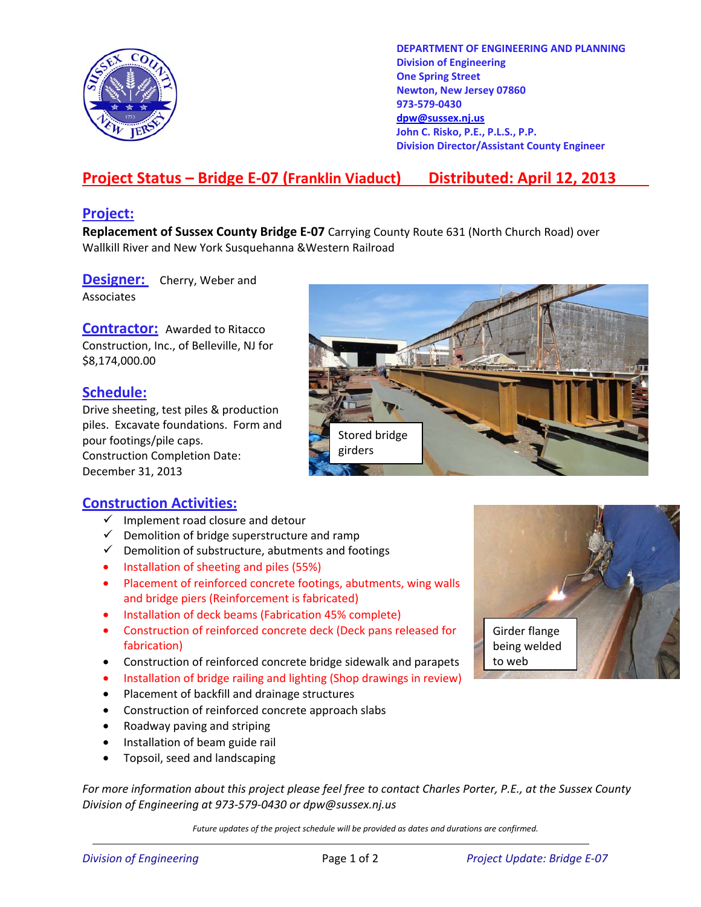

**DEPARTMENT OF ENGINEERING AND PLANNING Division of Engineering One Spring Street Newton, New Jersey 07860 973-579-0430 dpw@sussex.nj.us John C. Risko, P.E., P.L.S., P.P. Division Director/Assistant County Engineer** 

# **Project Status – Bridge E-07 (Franklin Viaduct) Distributed: April 12, 2013**

#### **Project:**

**Replacement of Sussex County Bridge E-07** Carrying County Route 631 (North Church Road) over Wallkill River and New York Susquehanna &Western Railroad

**Designer:** Cherry, Weber and Associates

**Contractor:** Awarded to Ritacco Construction, Inc., of Belleville, NJ for \$8,174,000.00

#### **Schedule:**

Drive sheeting, test piles & production piles. Excavate foundations. Form and pour footings/pile caps. Construction Completion Date: December 31, 2013



### **Construction Activities:**

- $\checkmark$  Implement road closure and detour
- $\checkmark$  Demolition of bridge superstructure and ramp
- $\checkmark$  Demolition of substructure, abutments and footings
- Installation of sheeting and piles (55%)
- Placement of reinforced concrete footings, abutments, wing walls and bridge piers (Reinforcement is fabricated)
- Installation of deck beams (Fabrication 45% complete)
- Construction of reinforced concrete deck (Deck pans released for fabrication)
- Construction of reinforced concrete bridge sidewalk and parapets
- Installation of bridge railing and lighting (Shop drawings in review)
- Placement of backfill and drainage structures
- Construction of reinforced concrete approach slabs
- Roadway paving and striping
- Installation of beam guide rail
- Topsoil, seed and landscaping

*For more information about this project please feel free to contact Charles Porter, P.E., at the Sussex County Division of Engineering at 973-579-0430 or dpw@sussex.nj.us* 

*Future updates of the project schedule will be provided as dates and durations are confirmed.*